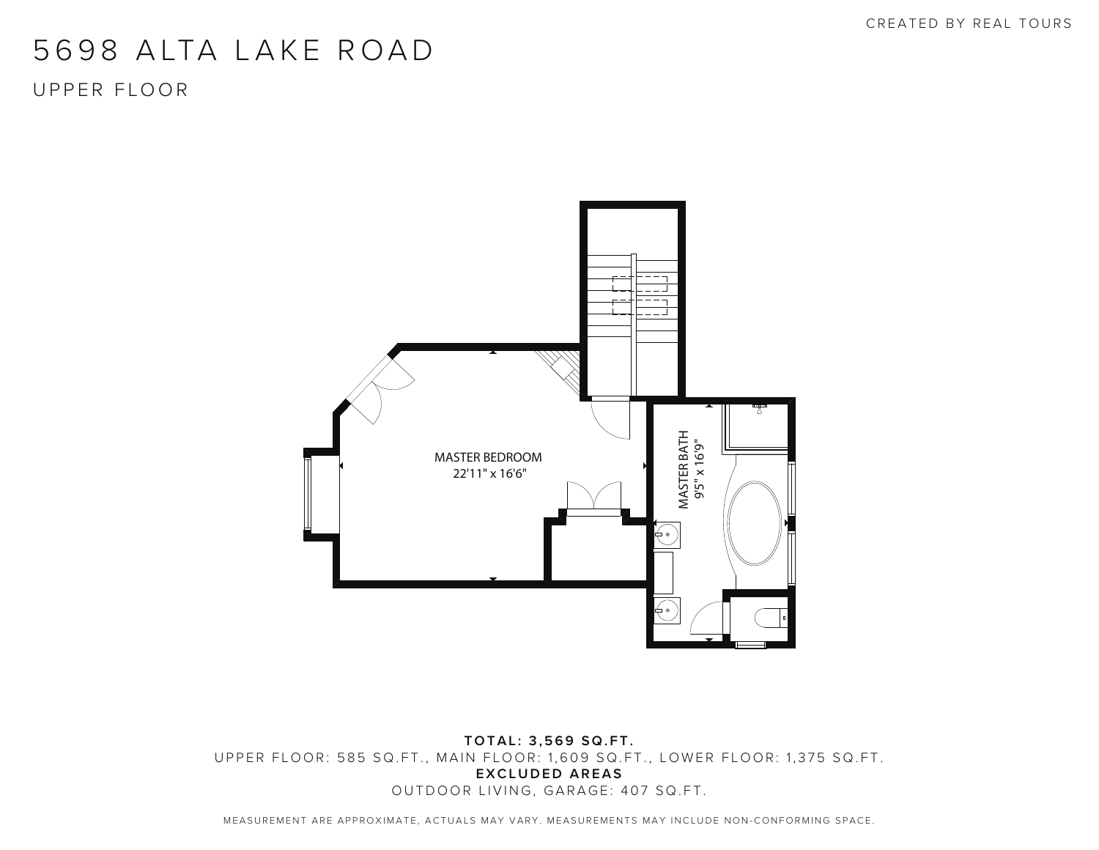CREATED BY REAL TOURS

## 5698 ALTA LAKE ROAD

UPPER FLOOR



**TOTAL: 3,569 SQ.FT.** UPPER FLOOR: 585 SQ.FT., MAIN FLOOR: 1,609 SQ.FT., LOWER FLOOR: 1,375 SQ.FT. **EXCLUDED AREAS** OUTDOOR LIVING, GARAGE: 407 SQ.FT.

MEASUREMENT ARE APPROXIMATE, ACTUALS MAY VARY. MEASUREMENTS MAY INCLUDE NON-CONFORMING SPACE.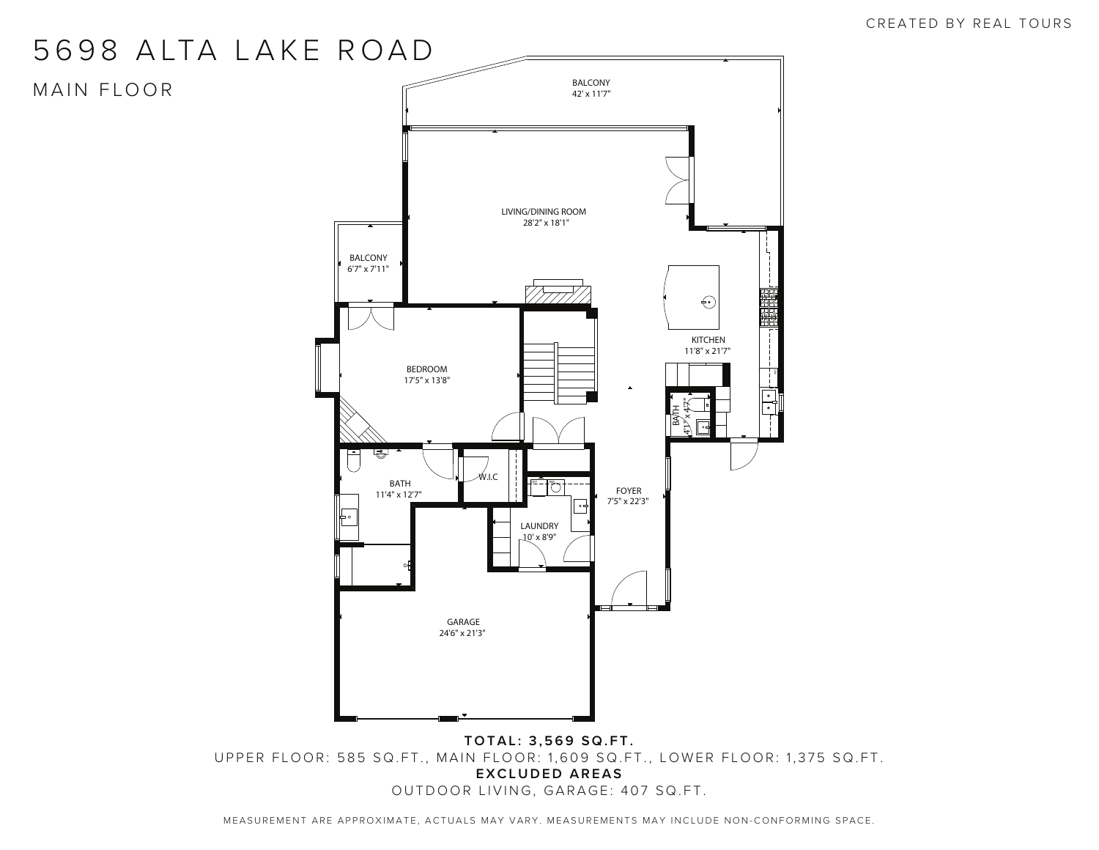## 5698 ALTA LAKE ROAD

MAIN FLOOR



UPPER FLOOR: 585 SQ.FT., MAIN FLOOR: 1,609 SQ.FT., LOWER FLOOR: 1,375 SQ.FT. **EXCLUDED AREAS** OUTDOOR LIVING, GARAGE: 407 SQ.FT.

MEASUREMENT ARE APPROXIMATE, ACTUALS MAY VARY. MEASUREMENTS MAY INCLUDE NON-CONFORMING SPACE.